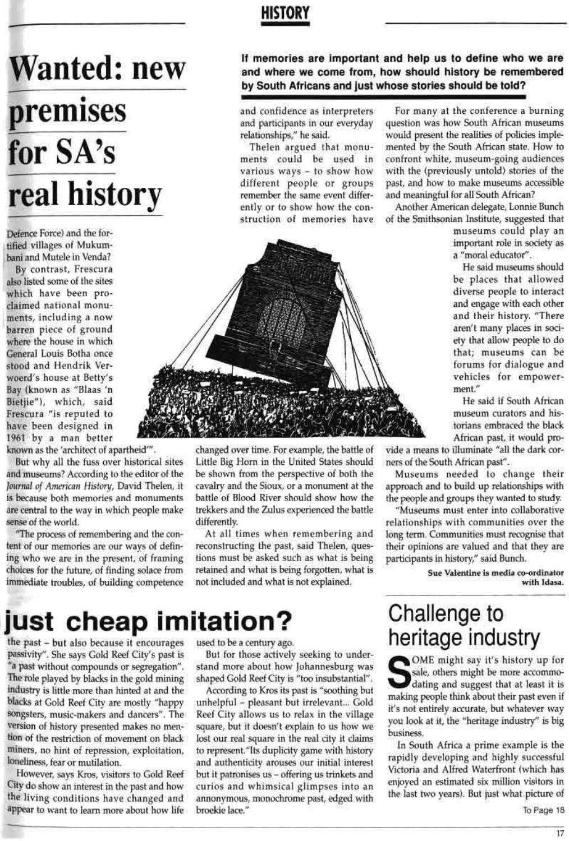### **HISTORY**

# **Wanted: new** premises for SA's real history

Defence Force) and the fortified villages of Mukumbani and Mutele in Venda?

By contrast, Frescura also listed some of the sites which have been proclaimed national monuments, including a now barren piece of ground where the house in which General Louis Botha once stood and Hendrik Verwoerd's house at Betty's Bay (known as "Blaas 'n Bietjie"), which, said Frescura "is reputed to have been designed in 1961 by a man better

known as the 'architect of apartheid'".

But why all the fuss over historical sites and museums? According to the editor of the Journal of American History, David Thelen, it is because both memories and monuments are central to the way in which people make sense of the world.

"The process of remembering and the content of our memories are our ways of defining who we are in the present, of framing choices for the future, of finding solace from immediate troubles, of building competence

changed over time. For example, the battle of Little Big Horn in the United States should be shown from the perspective of both the cavalry and the Sioux, or a monument at the battle of Blood River should show how the trekkers and the Zulus experienced the battle differently.

At all times when remembering and reconstructing the past, said Thelen, questions must be asked such as what is being retained and what is being forgotten, what is not included and what is not explained.

If memories are important and help us to define who we are and where we come from, how should history be remembered by South Africans and just whose stories should be told?

and confidence as interpreters and participants in our everyday relationships," he said.

Thelen argued that monuments could be used in various ways - to show how different people or groups remember the same event differently or to show how the construction of memories have



For many at the conference a burning question was how South African museums would present the realities of policies implemented by the South African state. How to confront white, museum-going audiences with the (previously untold) stories of the past, and how to make museums accessible and meaningful for all South African?

Another American delegate, Lonnie Bunch of the Smithsonian Institute, suggested that

> museums could play an important role in society as a "moral educator".

> He said museums should be places that allowed diverse people to interact and engage with each other and their history. "There aren't many places in society that allow people to do that; museums can be forums for dialogue and vehicles for empowerment."

> He said if South African museum curators and historians embraced the black African past, it would pro-

vide a means to illuminate "all the dark corners of the South African past".

Museums needed to change their approach and to build up relationships with the people and groups they wanted to study.

"Museums must enter into collaborative relationships with communities over the long term. Communities must recognise that their opinions are valued and that they are participants in history," said Bunch.

> Sue Valentine is media co-ordinator with Idasa.

## just cheap imitation?

the past – but also because it encourages passivity". She says Gold Reef City's past is "a past without compounds or segregation". The role played by blacks in the gold mining industry is little more than hinted at and the blacks at Gold Reef City are mostly "happy songsters, music-makers and dancers". The version of history presented makes no mention of the restriction of movement on black miners, no hint of repression, exploitation, loneliness, fear or mutilation.

However, says Kros, visitors to Gold Reef City do show an interest in the past and how the living conditions have changed and appear to want to learn more about how life

#### used to be a century ago.

But for those actively seeking to understand more about how Johannesburg was shaped Gold Reef City is "too insubstantial". According to Kros its past is "soothing but unhelpful - pleasant but irrelevant... Gold Reef City allows us to relax in the village square, but it doesn't explain to us how we lost our real square in the real city it claims to represent."Its duplicity game with history and authenticity arouses our initial interest but it patronises us - offering us trinkets and curios and whimsical glimpses into an annonymous, monochrome past, edged with broekie lace."

## heritage industry

Challenge to

OME might say it's history up for sale, others might be more accommodating and suggest that at least it is making people think about their past even if it's not entirely accurate, but whatever way you look at it, the "heritage industry" is big business.

In South Africa a prime example is the rapidly developing and highly successful Victoria and Alfred Waterfront (which has enjoyed an estimated six million visitors in the last two years). But just what picture of

To Page 18